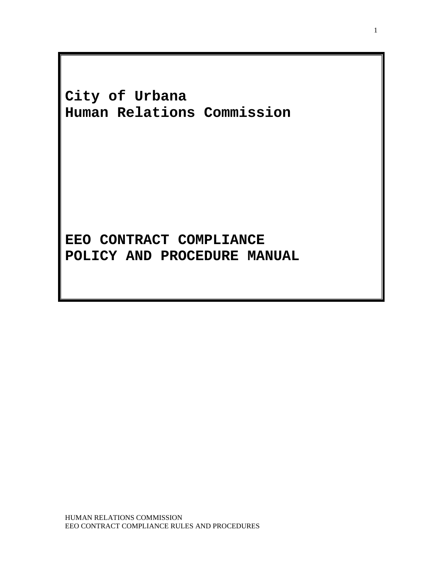**City of Urbana Human Relations Commission**

**EEO CONTRACT COMPLIANCE POLICY AND PROCEDURE MANUAL**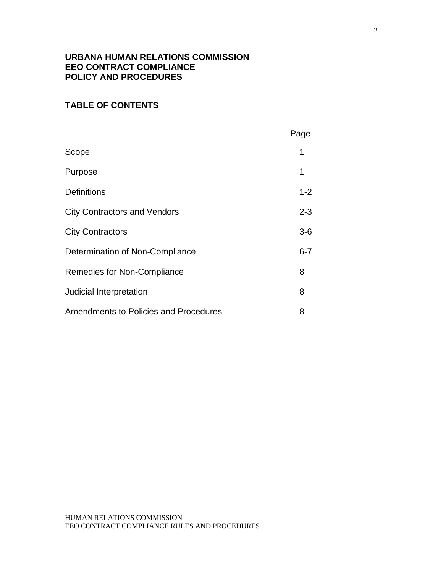# **URBANA HUMAN RELATIONS COMMISSION EEO CONTRACT COMPLIANCE POLICY AND PROCEDURES**

# **TABLE OF CONTENTS**

|                                              | Page    |
|----------------------------------------------|---------|
| Scope                                        | 1       |
| Purpose                                      | 1       |
| <b>Definitions</b>                           | $1 - 2$ |
| <b>City Contractors and Vendors</b>          | $2 - 3$ |
| <b>City Contractors</b>                      | $3-6$   |
| Determination of Non-Compliance              | $6 - 7$ |
| Remedies for Non-Compliance                  | 8       |
| Judicial Interpretation                      | 8       |
| <b>Amendments to Policies and Procedures</b> | 8       |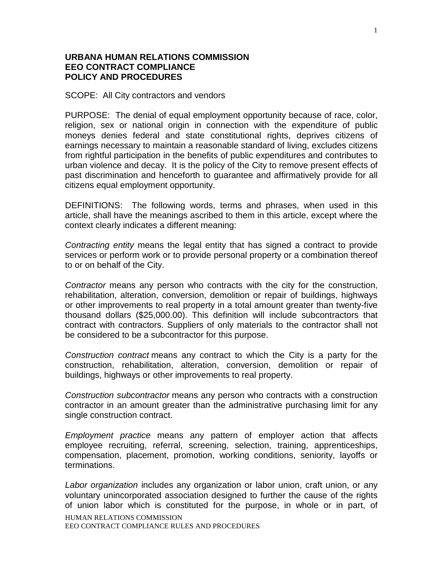### **URBANA HUMAN RELATIONS COMMISSION EEO CONTRACT COMPLIANCE POLICY AND PROCEDURES**

SCOPE: All City contractors and vendors

PURPOSE: The denial of equal employment opportunity because of race, color, religion, sex or national origin in connection with the expenditure of public moneys denies federal and state constitutional rights, deprives citizens of earnings necessary to maintain a reasonable standard of living, excludes citizens from rightful participation in the benefits of public expenditures and contributes to urban violence and decay. It is the policy of the City to remove present effects of past discrimination and henceforth to guarantee and affirmatively provide for all citizens equal employment opportunity.

DEFINITIONS: The following words, terms and phrases, when used in this article, shall have the meanings ascribed to them in this article, except where the context clearly indicates a different meaning:

*Contracting entity* means the legal entity that has signed a contract to provide services or perform work or to provide personal property or a combination thereof to or on behalf of the City.

*Contractor* means any person who contracts with the city for the construction, rehabilitation, alteration, conversion, demolition or repair of buildings, highways or other improvements to real property in a total amount greater than twenty-five thousand dollars (\$25,000.00). This definition will include subcontractors that contract with contractors. Suppliers of only materials to the contractor shall not be considered to be a subcontractor for this purpose.

*Construction contract* means any contract to which the City is a party for the construction, rehabilitation, alteration, conversion, demolition or repair of buildings, highways or other improvements to real property.

*Construction subcontractor* means any person who contracts with a construction contractor in an amount greater than the administrative purchasing limit for any single construction contract.

*Employment practice* means any pattern of employer action that affects employee recruiting, referral, screening, selection, training, apprenticeships, compensation, placement, promotion, working conditions, seniority, layoffs or terminations.

HUMAN RELATIONS COMMISSION EEO CONTRACT COMPLIANCE RULES AND PROCEDURES *Labor organization* includes any organization or labor union, craft union, or any voluntary unincorporated association designed to further the cause of the rights of union labor which is constituted for the purpose, in whole or in part, of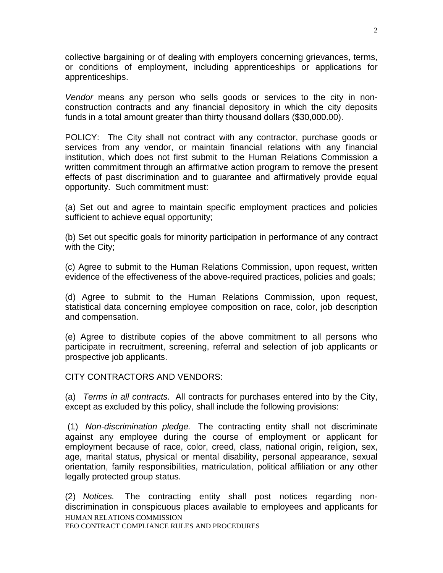collective bargaining or of dealing with employers concerning grievances, terms, or conditions of employment, including apprenticeships or applications for apprenticeships.

*Vendor* means any person who sells goods or services to the city in nonconstruction contracts and any financial depository in which the city deposits funds in a total amount greater than thirty thousand dollars (\$30,000.00).

POLICY: The City shall not contract with any contractor, purchase goods or services from any vendor, or maintain financial relations with any financial institution, which does not first submit to the Human Relations Commission a written commitment through an affirmative action program to remove the present effects of past discrimination and to guarantee and affirmatively provide equal opportunity. Such commitment must:

(a) Set out and agree to maintain specific employment practices and policies sufficient to achieve equal opportunity;

(b) Set out specific goals for minority participation in performance of any contract with the City;

(c) Agree to submit to the Human Relations Commission, upon request, written evidence of the effectiveness of the above-required practices, policies and goals;

(d) Agree to submit to the Human Relations Commission, upon request, statistical data concerning employee composition on race, color, job description and compensation.

(e) Agree to distribute copies of the above commitment to all persons who participate in recruitment, screening, referral and selection of job applicants or prospective job applicants.

CITY CONTRACTORS AND VENDORS:

(a) *Terms in all contracts.* All contracts for purchases entered into by the City, except as excluded by this policy, shall include the following provisions:

(1) *Non-discrimination pledge.* The contracting entity shall not discriminate against any employee during the course of employment or applicant for employment because of race, color, creed, class, national origin, religion, sex, age, marital status, physical or mental disability, personal appearance, sexual orientation, family responsibilities, matriculation, political affiliation or any other legally protected group status.

HUMAN RELATIONS COMMISSION EEO CONTRACT COMPLIANCE RULES AND PROCEDURES (2) *Notices.* The contracting entity shall post notices regarding nondiscrimination in conspicuous places available to employees and applicants for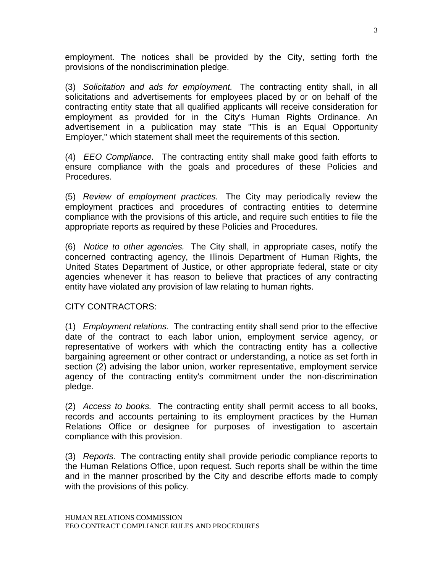employment. The notices shall be provided by the City, setting forth the provisions of the nondiscrimination pledge.

(3) *Solicitation and ads for employment.* The contracting entity shall, in all solicitations and advertisements for employees placed by or on behalf of the contracting entity state that all qualified applicants will receive consideration for employment as provided for in the City's Human Rights Ordinance. An advertisement in a publication may state "This is an Equal Opportunity Employer," which statement shall meet the requirements of this section.

(4) *EEO Compliance.* The contracting entity shall make good faith efforts to ensure compliance with the goals and procedures of these Policies and Procedures.

(5) *Review of employment practices.* The City may periodically review the employment practices and procedures of contracting entities to determine compliance with the provisions of this article, and require such entities to file the appropriate reports as required by these Policies and Procedures.

(6) *Notice to other agencies.* The City shall, in appropriate cases, notify the concerned contracting agency, the Illinois Department of Human Rights, the United States Department of Justice, or other appropriate federal, state or city agencies whenever it has reason to believe that practices of any contracting entity have violated any provision of law relating to human rights.

## CITY CONTRACTORS:

(1) *Employment relations.* The contracting entity shall send prior to the effective date of the contract to each labor union, employment service agency, or representative of workers with which the contracting entity has a collective bargaining agreement or other contract or understanding, a notice as set forth in section (2) advising the labor union, worker representative, employment service agency of the contracting entity's commitment under the non-discrimination pledge.

(2) *Access to books.* The contracting entity shall permit access to all books, records and accounts pertaining to its employment practices by the Human Relations Office or designee for purposes of investigation to ascertain compliance with this provision.

(3) *Reports.* The contracting entity shall provide periodic compliance reports to the Human Relations Office, upon request. Such reports shall be within the time and in the manner proscribed by the City and describe efforts made to comply with the provisions of this policy.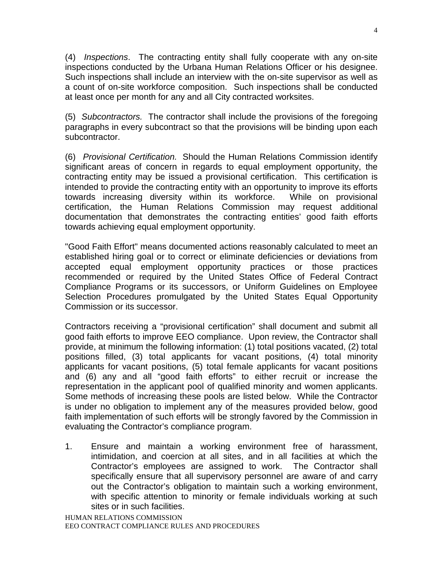(4) *Inspections*. The contracting entity shall fully cooperate with any on-site inspections conducted by the Urbana Human Relations Officer or his designee. Such inspections shall include an interview with the on-site supervisor as well as a count of on-site workforce composition. Such inspections shall be conducted at least once per month for any and all City contracted worksites.

(5) *Subcontractors.* The contractor shall include the provisions of the foregoing paragraphs in every subcontract so that the provisions will be binding upon each subcontractor.

(6) *Provisional Certification.* Should the Human Relations Commission identify significant areas of concern in regards to equal employment opportunity, the contracting entity may be issued a provisional certification. This certification is intended to provide the contracting entity with an opportunity to improve its efforts towards increasing diversity within its workforce. While on provisional certification, the Human Relations Commission may request additional documentation that demonstrates the contracting entities' good faith efforts towards achieving equal employment opportunity.

"Good Faith Effort" means documented actions reasonably calculated to meet an established hiring goal or to correct or eliminate deficiencies or deviations from accepted equal employment opportunity practices or those practices recommended or required by the United States Office of Federal Contract Compliance Programs or its successors, or Uniform Guidelines on Employee Selection Procedures promulgated by the United States Equal Opportunity Commission or its successor.

Contractors receiving a "provisional certification" shall document and submit all good faith efforts to improve EEO compliance. Upon review, the Contractor shall provide, at minimum the following information: (1) total positions vacated, (2) total positions filled, (3) total applicants for vacant positions, (4) total minority applicants for vacant positions, (5) total female applicants for vacant positions and (6) any and all "good faith efforts" to either recruit or increase the representation in the applicant pool of qualified minority and women applicants. Some methods of increasing these pools are listed below. While the Contractor is under no obligation to implement any of the measures provided below, good faith implementation of such efforts will be strongly favored by the Commission in evaluating the Contractor's compliance program.

1. Ensure and maintain a working environment free of harassment, intimidation, and coercion at all sites, and in all facilities at which the Contractor's employees are assigned to work. The Contractor shall specifically ensure that all supervisory personnel are aware of and carry out the Contractor's obligation to maintain such a working environment, with specific attention to minority or female individuals working at such sites or in such facilities.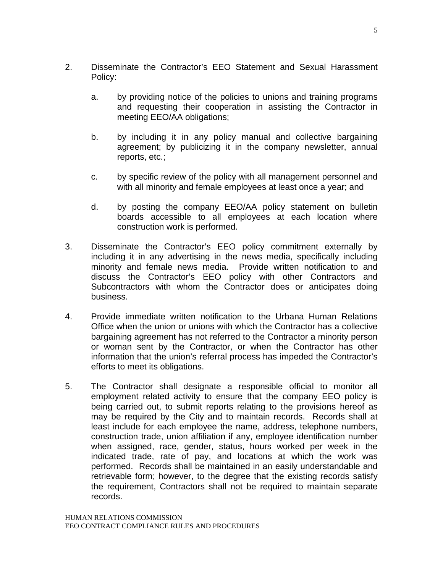- 2. Disseminate the Contractor's EEO Statement and Sexual Harassment Policy:
	- a. by providing notice of the policies to unions and training programs and requesting their cooperation in assisting the Contractor in meeting EEO/AA obligations;
	- b. by including it in any policy manual and collective bargaining agreement; by publicizing it in the company newsletter, annual reports, etc.;
	- c. by specific review of the policy with all management personnel and with all minority and female employees at least once a year; and
	- d. by posting the company EEO/AA policy statement on bulletin boards accessible to all employees at each location where construction work is performed.
- 3. Disseminate the Contractor's EEO policy commitment externally by including it in any advertising in the news media, specifically including minority and female news media. Provide written notification to and discuss the Contractor's EEO policy with other Contractors and Subcontractors with whom the Contractor does or anticipates doing business.
- 4. Provide immediate written notification to the Urbana Human Relations Office when the union or unions with which the Contractor has a collective bargaining agreement has not referred to the Contractor a minority person or woman sent by the Contractor, or when the Contractor has other information that the union's referral process has impeded the Contractor's efforts to meet its obligations.
- 5. The Contractor shall designate a responsible official to monitor all employment related activity to ensure that the company EEO policy is being carried out, to submit reports relating to the provisions hereof as may be required by the City and to maintain records. Records shall at least include for each employee the name, address, telephone numbers, construction trade, union affiliation if any, employee identification number when assigned, race, gender, status, hours worked per week in the indicated trade, rate of pay, and locations at which the work was performed. Records shall be maintained in an easily understandable and retrievable form; however, to the degree that the existing records satisfy the requirement, Contractors shall not be required to maintain separate records.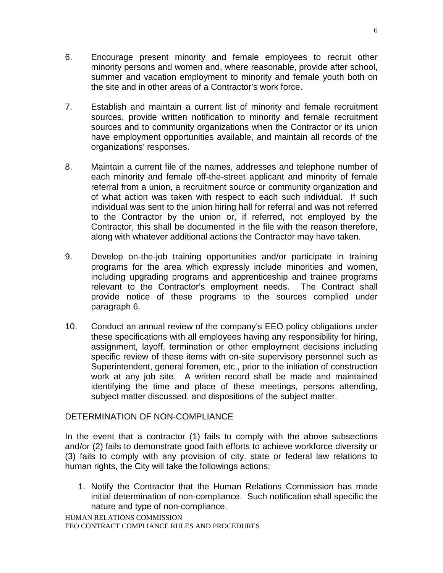- 6. Encourage present minority and female employees to recruit other minority persons and women and, where reasonable, provide after school, summer and vacation employment to minority and female youth both on the site and in other areas of a Contractor's work force.
- 7. Establish and maintain a current list of minority and female recruitment sources, provide written notification to minority and female recruitment sources and to community organizations when the Contractor or its union have employment opportunities available, and maintain all records of the organizations' responses.
- 8. Maintain a current file of the names, addresses and telephone number of each minority and female off-the-street applicant and minority of female referral from a union, a recruitment source or community organization and of what action was taken with respect to each such individual. If such individual was sent to the union hiring hall for referral and was not referred to the Contractor by the union or, if referred, not employed by the Contractor, this shall be documented in the file with the reason therefore, along with whatever additional actions the Contractor may have taken.
- 9. Develop on-the-job training opportunities and/or participate in training programs for the area which expressly include minorities and women, including upgrading programs and apprenticeship and trainee programs relevant to the Contractor's employment needs. The Contract shall provide notice of these programs to the sources complied under paragraph 6.
- 10. Conduct an annual review of the company's EEO policy obligations under these specifications with all employees having any responsibility for hiring, assignment, layoff, termination or other employment decisions including specific review of these items with on-site supervisory personnel such as Superintendent, general foremen, etc., prior to the initiation of construction work at any job site. A written record shall be made and maintained identifying the time and place of these meetings, persons attending, subject matter discussed, and dispositions of the subject matter.

## DETERMINATION OF NON-COMPLIANCE

In the event that a contractor (1) fails to comply with the above subsections and/or (2) fails to demonstrate good faith efforts to achieve workforce diversity or (3) fails to comply with any provision of city, state or federal law relations to human rights, the City will take the followings actions:

1. Notify the Contractor that the Human Relations Commission has made initial determination of non-compliance. Such notification shall specific the nature and type of non-compliance.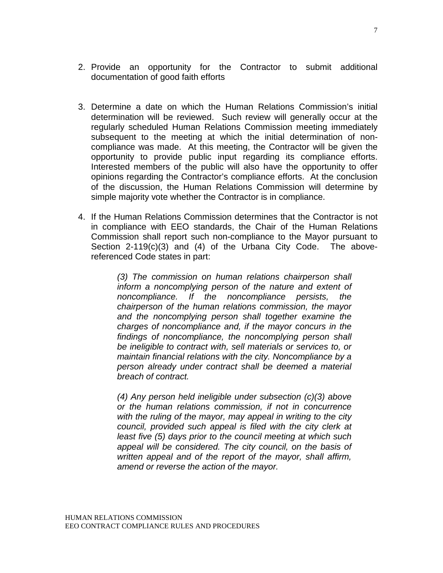- 2. Provide an opportunity for the Contractor to submit additional documentation of good faith efforts
- 3. Determine a date on which the Human Relations Commission's initial determination will be reviewed. Such review will generally occur at the regularly scheduled Human Relations Commission meeting immediately subsequent to the meeting at which the initial determination of noncompliance was made. At this meeting, the Contractor will be given the opportunity to provide public input regarding its compliance efforts. Interested members of the public will also have the opportunity to offer opinions regarding the Contractor's compliance efforts. At the conclusion of the discussion, the Human Relations Commission will determine by simple majority vote whether the Contractor is in compliance.
- 4. If the Human Relations Commission determines that the Contractor is not in compliance with EEO standards, the Chair of the Human Relations Commission shall report such non-compliance to the Mayor pursuant to Section 2-119(c)(3) and (4) of the Urbana City Code. The abovereferenced Code states in part:

*(3) The commission on human relations chairperson shall inform a noncomplying person of the nature and extent of noncompliance. If the noncompliance persists, the chairperson of the human relations commission, the mayor and the noncomplying person shall together examine the charges of noncompliance and, if the mayor concurs in the findings of noncompliance, the noncomplying person shall be ineligible to contract with, sell materials or services to, or maintain financial relations with the city. Noncompliance by a person already under contract shall be deemed a material breach of contract.* 

*(4) Any person held ineligible under subsection (c)(3) above or the human relations commission, if not in concurrence with the ruling of the mayor, may appeal in writing to the city council, provided such appeal is filed with the city clerk at least five (5) days prior to the council meeting at which such appeal will be considered. The city council, on the basis of written appeal and of the report of the mayor, shall affirm, amend or reverse the action of the mayor.* 

7